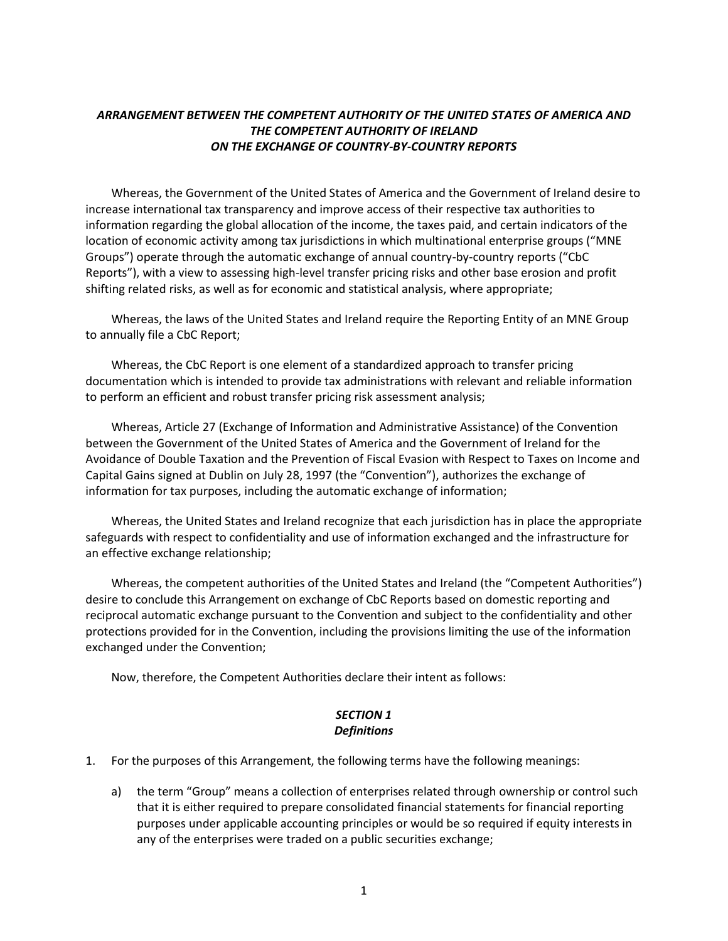## *ARRANGEMENT BETWEEN THE COMPETENT AUTHORITY OF THE UNITED STATES OF AMERICA AND THE COMPETENT AUTHORITY OF IRELAND ON THE EXCHANGE OF COUNTRY-BY-COUNTRY REPORTS*

Whereas, the Government of the United States of America and the Government of Ireland desire to increase international tax transparency and improve access of their respective tax authorities to information regarding the global allocation of the income, the taxes paid, and certain indicators of the location of economic activity among tax jurisdictions in which multinational enterprise groups ("MNE Groups") operate through the automatic exchange of annual country-by-country reports ("CbC Reports"), with a view to assessing high-level transfer pricing risks and other base erosion and profit shifting related risks, as well as for economic and statistical analysis, where appropriate;

Whereas, the laws of the United States and Ireland require the Reporting Entity of an MNE Group to annually file a CbC Report;

Whereas, the CbC Report is one element of a standardized approach to transfer pricing documentation which is intended to provide tax administrations with relevant and reliable information to perform an efficient and robust transfer pricing risk assessment analysis;

Whereas, Article 27 (Exchange of Information and Administrative Assistance) of the Convention between the Government of the United States of America and the Government of Ireland for the Avoidance of Double Taxation and the Prevention of Fiscal Evasion with Respect to Taxes on Income and Capital Gains signed at Dublin on July 28, 1997 (the "Convention"), authorizes the exchange of information for tax purposes, including the automatic exchange of information;

Whereas, the United States and Ireland recognize that each jurisdiction has in place the appropriate safeguards with respect to confidentiality and use of information exchanged and the infrastructure for an effective exchange relationship;

Whereas, the competent authorities of the United States and Ireland (the "Competent Authorities") desire to conclude this Arrangement on exchange of CbC Reports based on domestic reporting and reciprocal automatic exchange pursuant to the Convention and subject to the confidentiality and other protections provided for in the Convention, including the provisions limiting the use of the information exchanged under the Convention;

Now, therefore, the Competent Authorities declare their intent as follows:

### *SECTION 1 Definitions*

- 1. For the purposes of this Arrangement, the following terms have the following meanings:
	- a) the term "Group" means a collection of enterprises related through ownership or control such that it is either required to prepare consolidated financial statements for financial reporting purposes under applicable accounting principles or would be so required if equity interests in any of the enterprises were traded on a public securities exchange;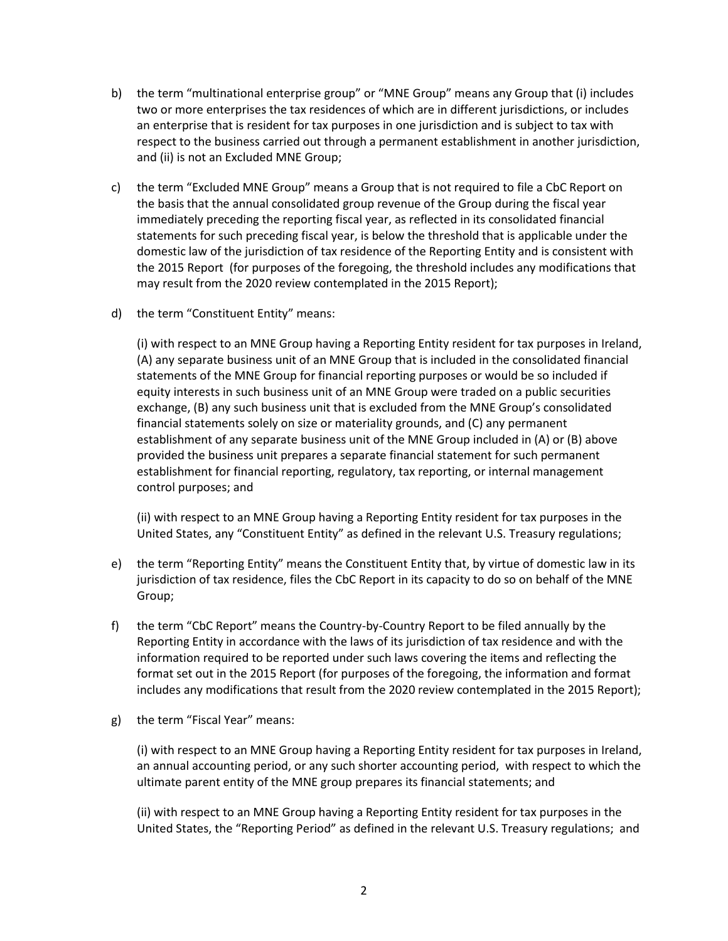- b) the term "multinational enterprise group" or "MNE Group" means any Group that (i) includes two or more enterprises the tax residences of which are in different jurisdictions, or includes an enterprise that is resident for tax purposes in one jurisdiction and is subject to tax with respect to the business carried out through a permanent establishment in another jurisdiction, and (ii) is not an Excluded MNE Group;
- c) the term "Excluded MNE Group" means a Group that is not required to file a CbC Report on the basis that the annual consolidated group revenue of the Group during the fiscal year immediately preceding the reporting fiscal year, as reflected in its consolidated financial statements for such preceding fiscal year, is below the threshold that is applicable under the domestic law of the jurisdiction of tax residence of the Reporting Entity and is consistent with the 2015 Report (for purposes of the foregoing, the threshold includes any modifications that may result from the 2020 review contemplated in the 2015 Report);
- d) the term "Constituent Entity" means:

(i) with respect to an MNE Group having a Reporting Entity resident for tax purposes in Ireland, (A) any separate business unit of an MNE Group that is included in the consolidated financial statements of the MNE Group for financial reporting purposes or would be so included if equity interests in such business unit of an MNE Group were traded on a public securities exchange, (B) any such business unit that is excluded from the MNE Group's consolidated financial statements solely on size or materiality grounds, and (C) any permanent establishment of any separate business unit of the MNE Group included in (A) or (B) above provided the business unit prepares a separate financial statement for such permanent establishment for financial reporting, regulatory, tax reporting, or internal management control purposes; and

(ii) with respect to an MNE Group having a Reporting Entity resident for tax purposes in the United States, any "Constituent Entity" as defined in the relevant U.S. Treasury regulations;

- e) the term "Reporting Entity" means the Constituent Entity that, by virtue of domestic law in its jurisdiction of tax residence, files the CbC Report in its capacity to do so on behalf of the MNE Group;
- f) the term "CbC Report" means the Country-by-Country Report to be filed annually by the Reporting Entity in accordance with the laws of its jurisdiction of tax residence and with the information required to be reported under such laws covering the items and reflecting the format set out in the 2015 Report (for purposes of the foregoing, the information and format includes any modifications that result from the 2020 review contemplated in the 2015 Report);
- g) the term "Fiscal Year" means:

(i) with respect to an MNE Group having a Reporting Entity resident for tax purposes in Ireland, an annual accounting period, or any such shorter accounting period, with respect to which the ultimate parent entity of the MNE group prepares its financial statements; and

(ii) with respect to an MNE Group having a Reporting Entity resident for tax purposes in the United States, the "Reporting Period" as defined in the relevant U.S. Treasury regulations; and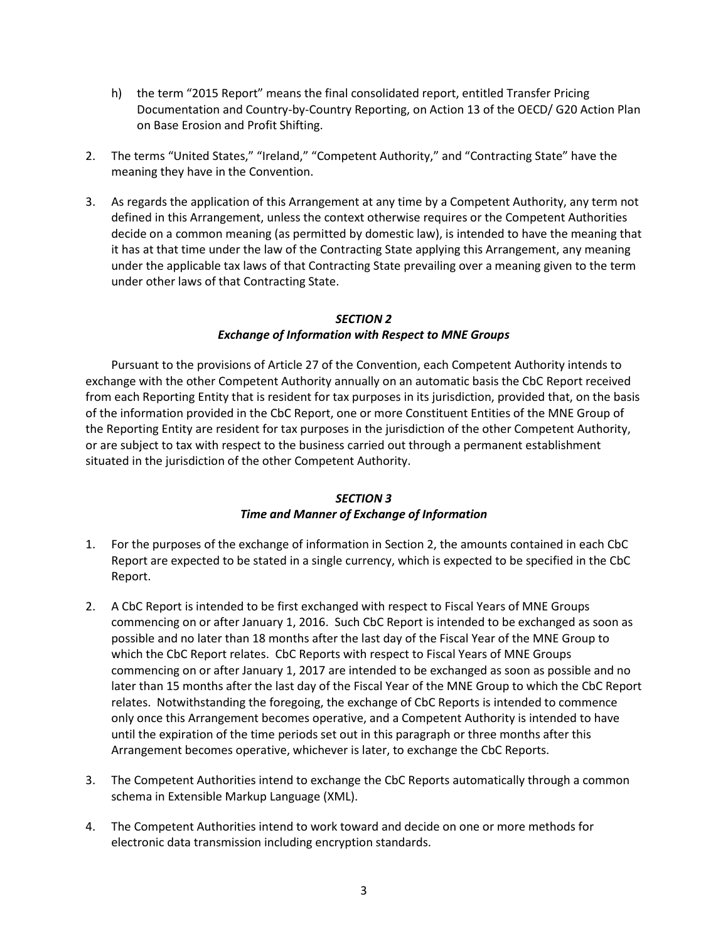- h) the term "2015 Report" means the final consolidated report, entitled Transfer Pricing Documentation and Country-by-Country Reporting, on Action 13 of the OECD/ G20 Action Plan on Base Erosion and Profit Shifting.
- 2. The terms "United States," "Ireland," "Competent Authority," and "Contracting State" have the meaning they have in the Convention.
- 3. As regards the application of this Arrangement at any time by a Competent Authority, any term not defined in this Arrangement, unless the context otherwise requires or the Competent Authorities decide on a common meaning (as permitted by domestic law), is intended to have the meaning that it has at that time under the law of the Contracting State applying this Arrangement, any meaning under the applicable tax laws of that Contracting State prevailing over a meaning given to the term under other laws of that Contracting State.

#### *SECTION 2 Exchange of Information with Respect to MNE Groups*

Pursuant to the provisions of Article 27 of the Convention, each Competent Authority intends to exchange with the other Competent Authority annually on an automatic basis the CbC Report received from each Reporting Entity that is resident for tax purposes in its jurisdiction, provided that, on the basis of the information provided in the CbC Report, one or more Constituent Entities of the MNE Group of the Reporting Entity are resident for tax purposes in the jurisdiction of the other Competent Authority, or are subject to tax with respect to the business carried out through a permanent establishment situated in the jurisdiction of the other Competent Authority.

### *SECTION 3*

### *Time and Manner of Exchange of Information*

- 1. For the purposes of the exchange of information in Section 2, the amounts contained in each CbC Report are expected to be stated in a single currency, which is expected to be specified in the CbC Report.
- 2. A CbC Report is intended to be first exchanged with respect to Fiscal Years of MNE Groups commencing on or after January 1, 2016. Such CbC Report is intended to be exchanged as soon as possible and no later than 18 months after the last day of the Fiscal Year of the MNE Group to which the CbC Report relates. CbC Reports with respect to Fiscal Years of MNE Groups commencing on or after January 1, 2017 are intended to be exchanged as soon as possible and no later than 15 months after the last day of the Fiscal Year of the MNE Group to which the CbC Report relates. Notwithstanding the foregoing, the exchange of CbC Reports is intended to commence only once this Arrangement becomes operative, and a Competent Authority is intended to have until the expiration of the time periods set out in this paragraph or three months after this Arrangement becomes operative, whichever is later, to exchange the CbC Reports.
- 3. The Competent Authorities intend to exchange the CbC Reports automatically through a common schema in Extensible Markup Language (XML).
- 4. The Competent Authorities intend to work toward and decide on one or more methods for electronic data transmission including encryption standards.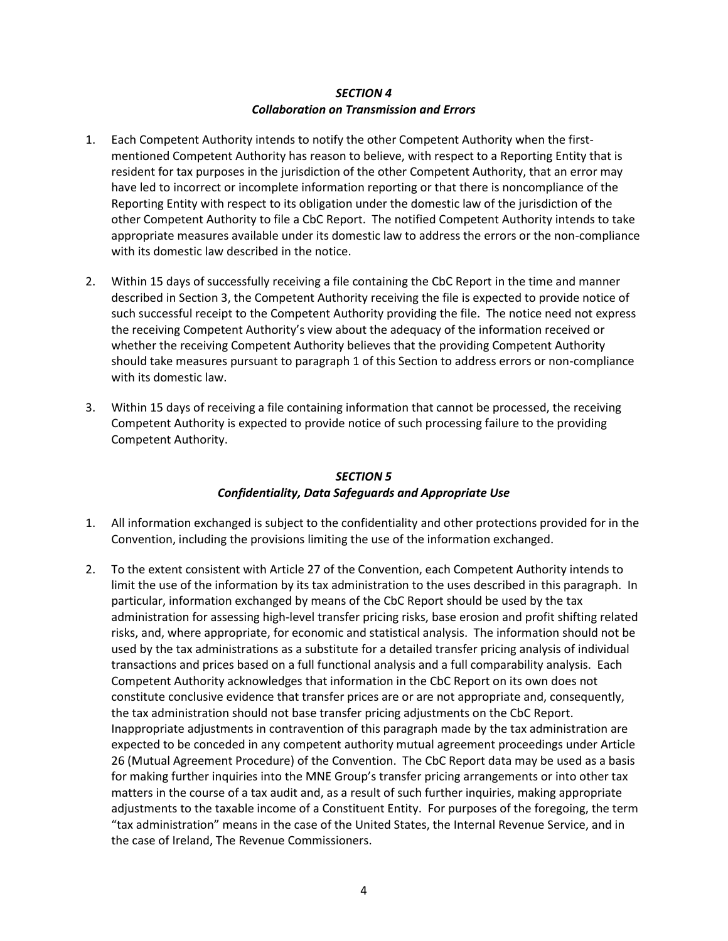### *SECTION 4 Collaboration on Transmission and Errors*

- 1. Each Competent Authority intends to notify the other Competent Authority when the firstmentioned Competent Authority has reason to believe, with respect to a Reporting Entity that is resident for tax purposes in the jurisdiction of the other Competent Authority, that an error may have led to incorrect or incomplete information reporting or that there is noncompliance of the Reporting Entity with respect to its obligation under the domestic law of the jurisdiction of the other Competent Authority to file a CbC Report. The notified Competent Authority intends to take appropriate measures available under its domestic law to address the errors or the non-compliance with its domestic law described in the notice.
- 2. Within 15 days of successfully receiving a file containing the CbC Report in the time and manner described in Section 3, the Competent Authority receiving the file is expected to provide notice of such successful receipt to the Competent Authority providing the file. The notice need not express the receiving Competent Authority's view about the adequacy of the information received or whether the receiving Competent Authority believes that the providing Competent Authority should take measures pursuant to paragraph 1 of this Section to address errors or non-compliance with its domestic law.
- 3. Within 15 days of receiving a file containing information that cannot be processed, the receiving Competent Authority is expected to provide notice of such processing failure to the providing Competent Authority.

#### *SECTION 5 Confidentiality, Data Safeguards and Appropriate Use*

- 1. All information exchanged is subject to the confidentiality and other protections provided for in the Convention, including the provisions limiting the use of the information exchanged.
- 2. To the extent consistent with Article 27 of the Convention, each Competent Authority intends to limit the use of the information by its tax administration to the uses described in this paragraph. In particular, information exchanged by means of the CbC Report should be used by the tax administration for assessing high-level transfer pricing risks, base erosion and profit shifting related risks, and, where appropriate, for economic and statistical analysis. The information should not be used by the tax administrations as a substitute for a detailed transfer pricing analysis of individual transactions and prices based on a full functional analysis and a full comparability analysis. Each Competent Authority acknowledges that information in the CbC Report on its own does not constitute conclusive evidence that transfer prices are or are not appropriate and, consequently, the tax administration should not base transfer pricing adjustments on the CbC Report. Inappropriate adjustments in contravention of this paragraph made by the tax administration are expected to be conceded in any competent authority mutual agreement proceedings under Article 26 (Mutual Agreement Procedure) of the Convention. The CbC Report data may be used as a basis for making further inquiries into the MNE Group's transfer pricing arrangements or into other tax matters in the course of a tax audit and, as a result of such further inquiries, making appropriate adjustments to the taxable income of a Constituent Entity. For purposes of the foregoing, the term "tax administration" means in the case of the United States, the Internal Revenue Service, and in the case of Ireland, The Revenue Commissioners.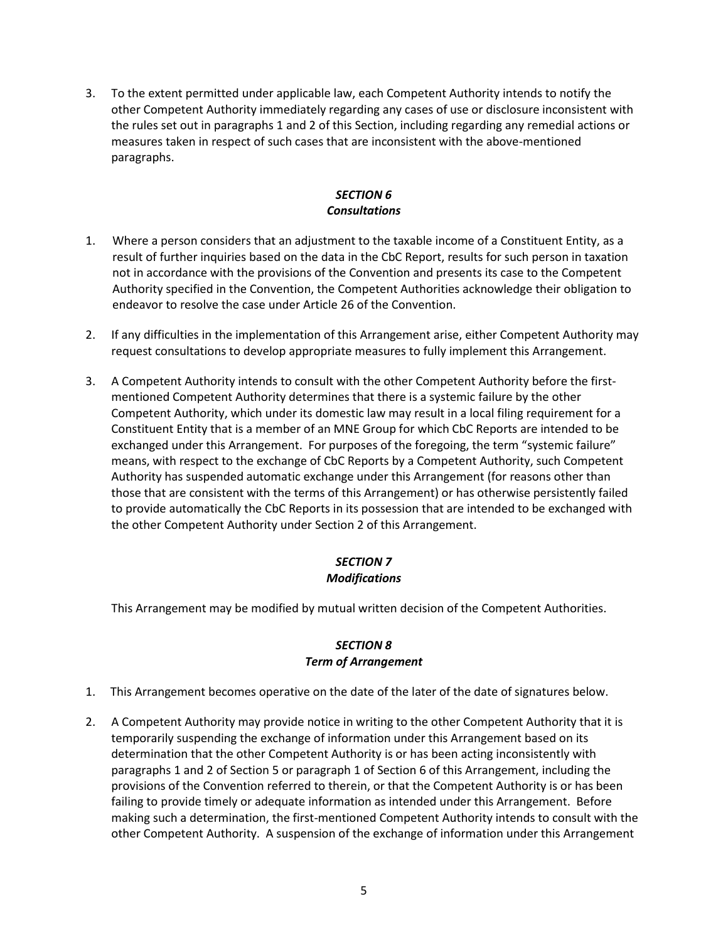3. To the extent permitted under applicable law, each Competent Authority intends to notify the other Competent Authority immediately regarding any cases of use or disclosure inconsistent with the rules set out in paragraphs 1 and 2 of this Section, including regarding any remedial actions or measures taken in respect of such cases that are inconsistent with the above-mentioned paragraphs.

## *SECTION 6 Consultations*

- 1. Where a person considers that an adjustment to the taxable income of a Constituent Entity, as a result of further inquiries based on the data in the CbC Report, results for such person in taxation not in accordance with the provisions of the Convention and presents its case to the Competent Authority specified in the Convention, the Competent Authorities acknowledge their obligation to endeavor to resolve the case under Article 26 of the Convention.
- 2. If any difficulties in the implementation of this Arrangement arise, either Competent Authority may request consultations to develop appropriate measures to fully implement this Arrangement.
- 3. A Competent Authority intends to consult with the other Competent Authority before the firstmentioned Competent Authority determines that there is a systemic failure by the other Competent Authority, which under its domestic law may result in a local filing requirement for a Constituent Entity that is a member of an MNE Group for which CbC Reports are intended to be exchanged under this Arrangement. For purposes of the foregoing, the term "systemic failure" means, with respect to the exchange of CbC Reports by a Competent Authority, such Competent Authority has suspended automatic exchange under this Arrangement (for reasons other than those that are consistent with the terms of this Arrangement) or has otherwise persistently failed to provide automatically the CbC Reports in its possession that are intended to be exchanged with the other Competent Authority under Section 2 of this Arrangement.

### *SECTION 7 Modifications*

This Arrangement may be modified by mutual written decision of the Competent Authorities.

# *SECTION 8 Term of Arrangement*

- 1. This Arrangement becomes operative on the date of the later of the date of signatures below.
- 2. A Competent Authority may provide notice in writing to the other Competent Authority that it is temporarily suspending the exchange of information under this Arrangement based on its determination that the other Competent Authority is or has been acting inconsistently with paragraphs 1 and 2 of Section 5 or paragraph 1 of Section 6 of this Arrangement, including the provisions of the Convention referred to therein, or that the Competent Authority is or has been failing to provide timely or adequate information as intended under this Arrangement. Before making such a determination, the first-mentioned Competent Authority intends to consult with the other Competent Authority. A suspension of the exchange of information under this Arrangement